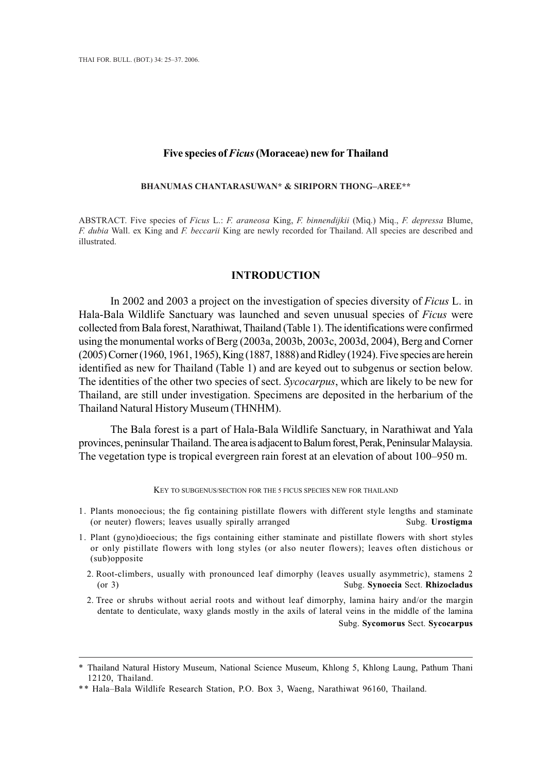#### **Five species of** *Ficus* **(Moraceae) new for Thailand**

#### **BHANUMAS CHANTARASUWAN\* & SIRIPORN THONG–AREE \*\* BHANUMAS CHANTARASUWAN\* & SIRIPORN THONG–AREE\*\***

ABSTRACT. Five species of *Ficus* L.: *F. araneosa* King, *F. binnendijkii* (Miq.) Miq., *F. depressa* Blume, *F. dubia* Wall. ex King and *F. beccarii* King are newly recorded for Thailand. All species are described and illustrated. illustrated.

# **INTRODUCTION INTRODUCTION**

In 2002 and 2003 a project on the investigation of species diversity of *Ficus* L. in Hala-Bala Wildlife Sanctuary was launched and seven unusual species of *Ficus* were collected from Bala forest, Narathiwat, Thailand (Table 1). The identifications were confirmed using the monumental works of Berg (2003a, 2003b, 2003c, 2003d, 2004), Berg and Corner (2005) Corner (1960, 1961, 1965), King (1887, 1888) and Ridley (1924). Five species are herein identified as new for Thailand (Table 1) and are keyed out to subgenus or section below. The identities of the other two species of sect. *Sycocarpus*, which are likely to be new for Thailand, are still under investigation. Specimens are deposited in the herbarium of the Thailand Natural History Museum (THNHM).

The Bala forest is a part of Hala-Bala Wildlife Sanctuary, in Narathiwat and Yala provinces, peninsular Thailand. The area is adjacent to Balum forest, Perak, Peninsular Malaysia. The vegetation type is tropical evergreen rain forest at an elevation of about 100–950 m.

KEY TO SUBGENUS/SECTION FOR THE 5 FICUS SPECIES NEW FOR THAILAND

- 1. Plants monoecious; the fig containing pistillate flowers with different style lengths and staminate (or neuter) flowers; leaves usually spirally arranged Subg. **Urostigma**
- 1. Plant (gyno)dioecious; the figs containing either staminate and pistillate flowers with short styles or only pistillate flowers with long styles (or also neuter flowers); leaves often distichous or (sub)opposite
	- 2. Root-climbers, usually with pronounced leaf dimorphy (leaves usually asymmetric), stamens 2 (or 3) Subg. **Synoecia** Sect. **Rhizocladus**
	- 2. Tree or shrubs without aerial roots and without leaf dimorphy, lamina hairy and/or the margin dentate to denticulate, waxy glands mostly in the axils of lateral veins in the middle of the lamina Subg. **Sycomorus** Sect. **Sycocarpus**

<sup>\*</sup> Thailand Natural History Museum, National Science Museum, Khlong 5, Khlong Laung, Pathum Thani 12120, Thailand.

<sup>\*\*</sup> Hala–Bala Wildlife Research Station, P.O. Box 3, Waeng, Narathiwat 96160, Thailand.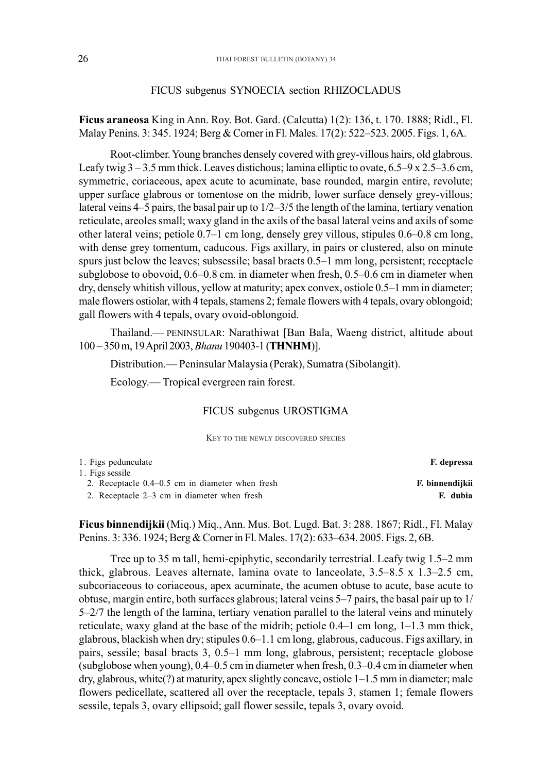### FICUS subgenus SYNOECIA section RHIZOCLADUS

**Ficus araneosa** King in Ann. Roy. Bot. Gard. (Calcutta) 1(2): 136, t. 170. 1888; Ridl., Fl. Malay Penins. 3: 345. 1924; Berg & Corner in Fl. Males. 17(2): 522–523. 2005. Figs. 1, 6A.

Root-climber. Young branches densely covered with grey-villous hairs, old glabrous. Leafy twig 3 – 3.5 mm thick. Leaves distichous; lamina elliptic to ovate, 6.5–9 x 2.5–3.6 cm, symmetric, coriaceous, apex acute to acuminate, base rounded, margin entire, revolute; upper surface glabrous or tomentose on the midrib, lower surface densely grey-villous; lateral veins 4–5 pairs, the basal pair up to 1/2–3/5 the length of the lamina, tertiary venation reticulate, areoles small; waxy gland in the axils of the basal lateral veins and axils of some other lateral veins; petiole 0.7–1 cm long, densely grey villous, stipules 0.6–0.8 cm long, with dense grey tomentum, caducous. Figs axillary, in pairs or clustered, also on minute spurs just below the leaves; subsessile; basal bracts 0.5–1 mm long, persistent; receptacle subglobose to obovoid, 0.6–0.8 cm. in diameter when fresh, 0.5–0.6 cm in diameter when dry, densely whitish villous, yellow at maturity; apex convex, ostiole 0.5–1 mm in diameter; male flowers ostiolar, with 4 tepals, stamens 2; female flowers with 4 tepals, ovary oblongoid; gall flowers with 4 tepals, ovary ovoid-oblongoid.

Thailand.— PENINSULAR: Narathiwat [Ban Bala, Waeng district, altitude about 100 – 350 m, 19 April 2003, *Bhanu* 190403-1 (**THNHM**)].

Distribution.— Peninsular Malaysia (Perak), Sumatra (Sibolangit).

Ecology.— Tropical evergreen rain forest.

### FICUS subgenus UROSTIGMA

KEY TO THE NEWLY DISCOVERED SPECIES

| F. depressa     |
|-----------------|
|                 |
| F. binnendijkii |
| F. dubia        |
|                 |

**Ficus binnendijkii** (Miq.) Miq., Ann. Mus. Bot. Lugd. Bat. 3: 288. 1867; Ridl., Fl. Malay Penins. 3: 336. 1924; Berg & Corner in Fl. Males. 17(2): 633–634. 2005. Figs. 2, 6B.

Tree up to 35 m tall, hemi-epiphytic, secondarily terrestrial. Leafy twig 1.5–2 mm thick, glabrous. Leaves alternate, lamina ovate to lanceolate, 3.5–8.5 x 1.3–2.5 cm, subcoriaceous to coriaceous, apex acuminate, the acumen obtuse to acute, base acute to obtuse, margin entire, both surfaces glabrous; lateral veins 5–7 pairs, the basal pair up to 1/ 5–2/7 the length of the lamina, tertiary venation parallel to the lateral veins and minutely reticulate, waxy gland at the base of the midrib; petiole 0.4–1 cm long, 1–1.3 mm thick, glabrous, blackish when dry; stipules 0.6–1.1 cm long, glabrous, caducous. Figs axillary, in pairs, sessile; basal bracts 3, 0.5–1 mm long, glabrous, persistent; receptacle globose (subglobose when young), 0.4–0.5 cm in diameter when fresh, 0.3–0.4 cm in diameter when dry, glabrous, white(?) at maturity, apex slightly concave, ostiole 1–1.5 mm in diameter; male flowers pedicellate, scattered all over the receptacle, tepals 3, stamen 1; female flowers sessile, tepals 3, ovary ellipsoid; gall flower sessile, tepals 3, ovary ovoid.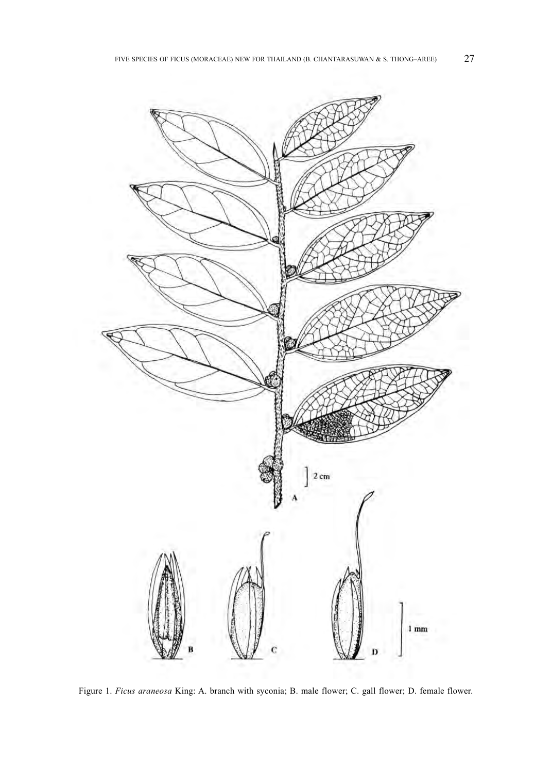

Figure 1. *Ficus araneosa* King: A. branch with syconia; B. male flower; C. gall flower; D. female flower.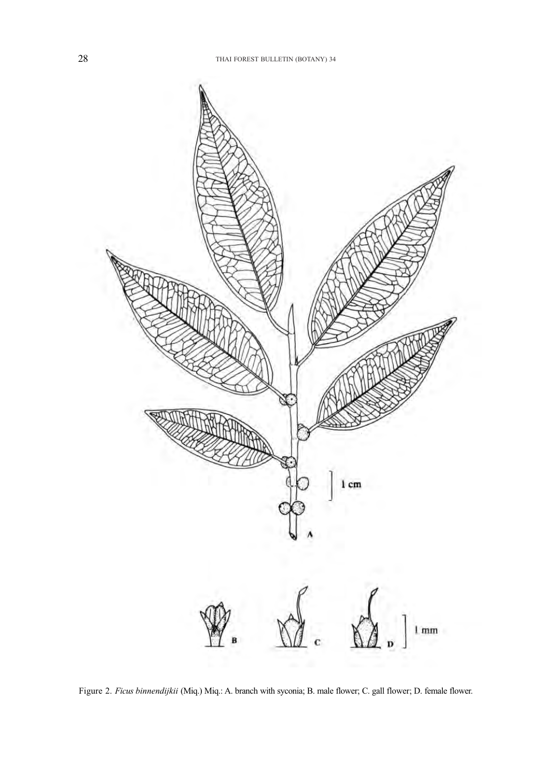

Figure 2. *Ficus binnendijkii* (Miq.) Miq.: A. branch with syconia; B. male flower; C. gall flower; D. female flower.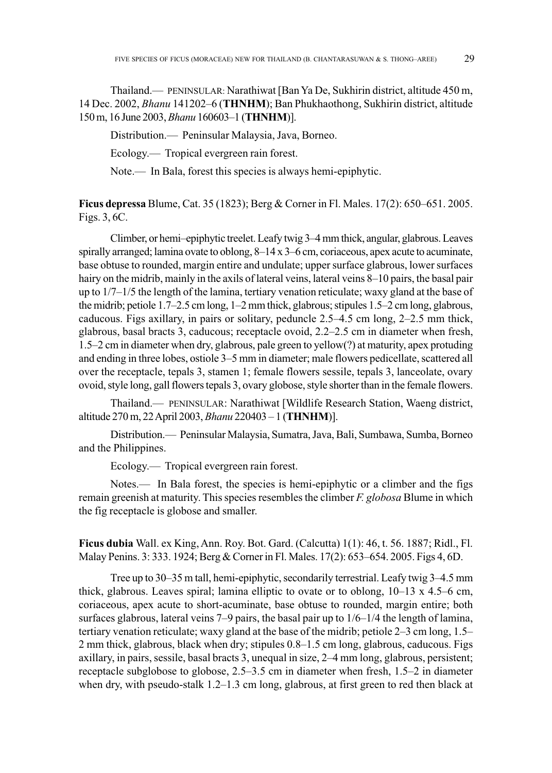Thailand.— PENINSULAR: Narathiwat [Ban Ya De, Sukhirin district, altitude 450 m, 14 Dec. 2002, *Bhanu* 141202–6 (**THNHM**); Ban Phukhaothong, Sukhirin district, altitude 150 m, 16 June 2003, *Bhanu* 160603–1 (**THNHM**)].

Distribution.— Peninsular Malaysia, Java, Borneo.

Ecology.— Tropical evergreen rain forest.

Note.— In Bala, forest this species is always hemi-epiphytic.

**Ficus depressa** Blume, Cat. 35 (1823); Berg & Corner in Fl. Males. 17(2): 650–651. 2005. Figs. 3, 6C.

Climber, or hemi–epiphytic treelet. Leafy twig 3–4 mm thick, angular, glabrous. Leaves spirally arranged; lamina ovate to oblong, 8–14 x 3–6 cm, coriaceous, apex acute to acuminate, base obtuse to rounded, margin entire and undulate; upper surface glabrous, lower surfaces hairy on the midrib, mainly in the axils of lateral veins, lateral veins 8–10 pairs, the basal pair up to 1/7–1/5 the length of the lamina, tertiary venation reticulate; waxy gland at the base of the midrib; petiole 1.7–2.5 cm long, 1–2 mm thick, glabrous; stipules 1.5–2 cm long, glabrous, caducous. Figs axillary, in pairs or solitary, peduncle 2.5–4.5 cm long, 2–2.5 mm thick, glabrous, basal bracts 3, caducous; receptacle ovoid, 2.2–2.5 cm in diameter when fresh, 1.5–2 cm in diameter when dry, glabrous, pale green to yellow(?) at maturity, apex protuding and ending in three lobes, ostiole 3–5 mm in diameter; male flowers pedicellate, scattered all over the receptacle, tepals 3, stamen 1; female flowers sessile, tepals 3, lanceolate, ovary ovoid, style long, gall flowers tepals 3, ovary globose, style shorter than in the female flowers.

Thailand.— PENINSULAR: Narathiwat [Wildlife Research Station, Waeng district, altitude 270 m, 22 April 2003, *Bhanu* 220403 – 1 (**THNHM**)].

Distribution.— Peninsular Malaysia, Sumatra, Java, Bali, Sumbawa, Sumba, Borneo and the Philippines.

Ecology.— Tropical evergreen rain forest.

Notes.— In Bala forest, the species is hemi-epiphytic or a climber and the figs remain greenish at maturity. This species resembles the climber *F. globosa* Blume in which the fig receptacle is globose and smaller.

**Ficus dubia** Wall. ex King, Ann. Roy. Bot. Gard. (Calcutta) 1(1): 46, t. 56. 1887; Ridl., Fl. Malay Penins. 3: 333. 1924; Berg & Corner in Fl. Males. 17(2): 653–654. 2005. Figs 4, 6D.

Tree up to 30–35 m tall, hemi-epiphytic, secondarily terrestrial. Leafy twig 3–4.5 mm thick, glabrous. Leaves spiral; lamina elliptic to ovate or to oblong, 10–13 x 4.5–6 cm, coriaceous, apex acute to short-acuminate, base obtuse to rounded, margin entire; both surfaces glabrous, lateral veins  $7-9$  pairs, the basal pair up to  $1/6-1/4$  the length of lamina, tertiary venation reticulate; waxy gland at the base of the midrib; petiole 2–3 cm long, 1.5– 2 mm thick, glabrous, black when dry; stipules 0.8–1.5 cm long, glabrous, caducous. Figs axillary, in pairs, sessile, basal bracts 3, unequal in size, 2–4 mm long, glabrous, persistent; receptacle subglobose to globose, 2.5–3.5 cm in diameter when fresh, 1.5–2 in diameter when dry, with pseudo-stalk 1.2–1.3 cm long, glabrous, at first green to red then black at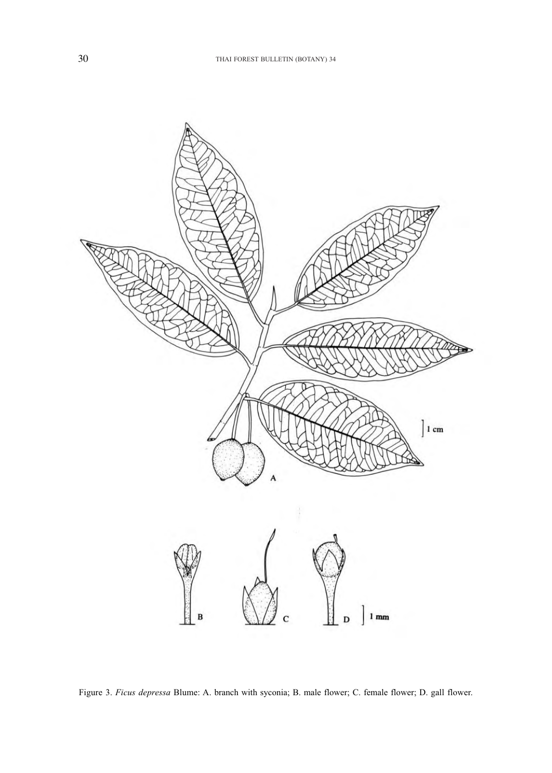

Figure 3. *Ficus depressa* Blume: A. branch with syconia; B. male flower; C. female flower; D. gall flower.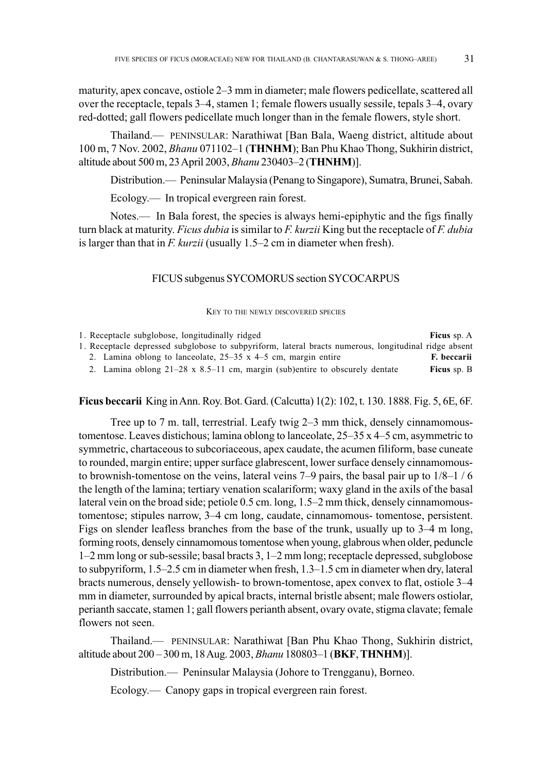maturity, apex concave, ostiole 2–3 mm in diameter; male flowers pedicellate, scattered all over the receptacle, tepals 3–4, stamen 1; female flowers usually sessile, tepals 3–4, ovary red-dotted; gall flowers pedicellate much longer than in the female flowers, style short.

Thailand.— PENINSULAR: Narathiwat [Ban Bala, Waeng district, altitude about 100 m, 7 Nov. 2002, *Bhanu* 071102–1 (**THNHM**); Ban Phu Khao Thong, Sukhirin district, altitude about 500 m, 23 April 2003, *Bhanu* 230403–2 (**THNHM**)].

Distribution.— Peninsular Malaysia (Penang to Singapore), Sumatra, Brunei, Sabah.

Ecology.— In tropical evergreen rain forest.

Notes.— In Bala forest, the species is always hemi-epiphytic and the figs finally turn black at maturity. *Ficus dubia* is similar to *F. kurzii* King but the receptacle of *F. dubia* is larger than that in *F. kurzii* (usually 1.5–2 cm in diameter when fresh).

#### FICUS subgenus SYCOMORUS section SYCOCARPUS

KEY TO THE NEWLY DISCOVERED SPECIES

|  | 1. Receptacle subglobose, longitudinally ridged                                                       | Ficus sp. A |
|--|-------------------------------------------------------------------------------------------------------|-------------|
|  | 1. Receptacle depressed subglobose to subpyriform, lateral bracts numerous, longitudinal ridge absent |             |
|  | 2. Lamina oblong to lanceolate, $25-35 \times 4-5$ cm, margin entire                                  | F. beccarii |
|  | 2. Lamina oblong $21-28 \times 8.5-11$ cm, margin (sub)entire to obscurely dentate                    | Ficus sp. B |
|  |                                                                                                       |             |

**Ficus beccarii** King in Ann. Roy. Bot. Gard. (Calcutta) 1(2): 102, t. 130. 1888. Fig. 5, 6E, 6F.

Tree up to 7 m. tall, terrestrial. Leafy twig 2–3 mm thick, densely cinnamomoustomentose. Leaves distichous; lamina oblong to lanceolate,  $25-35 \times 4-5$  cm, asymmetric to symmetric, chartaceous to subcoriaceous, apex caudate, the acumen filiform, base cuneate to rounded, margin entire; upper surface glabrescent, lower surface densely cinnamomousto brownish-tomentose on the veins, lateral veins  $7-9$  pairs, the basal pair up to  $1/8-1/6$ the length of the lamina; tertiary venation scalariform; waxy gland in the axils of the basal lateral vein on the broad side; petiole 0.5 cm. long, 1.5–2 mm thick, densely cinnamomoustomentose; stipules narrow, 3–4 cm long, caudate, cinnamomous- tomentose, persistent. Figs on slender leafless branches from the base of the trunk, usually up to 3–4 m long, forming roots, densely cinnamomous tomentose when young, glabrous when older, peduncle 1–2 mm long or sub-sessile; basal bracts 3, 1–2 mm long; receptacle depressed, subglobose to subpyriform, 1.5–2.5 cm in diameter when fresh, 1.3–1.5 cm in diameter when dry, lateral bracts numerous, densely yellowish- to brown-tomentose, apex convex to flat, ostiole 3–4 mm in diameter, surrounded by apical bracts, internal bristle absent; male flowers ostiolar, perianth saccate, stamen 1; gall flowers perianth absent, ovary ovate, stigma clavate; female flowers not seen.

Thailand.— PENINSULAR: Narathiwat [Ban Phu Khao Thong, Sukhirin district, altitude about 200 – 300 m, 18 Aug. 2003, *Bhanu* 180803–1 (**BKF**, **THNHM**)].

Distribution.— Peninsular Malaysia (Johore to Trengganu), Borneo.

Ecology.— Canopy gaps in tropical evergreen rain forest.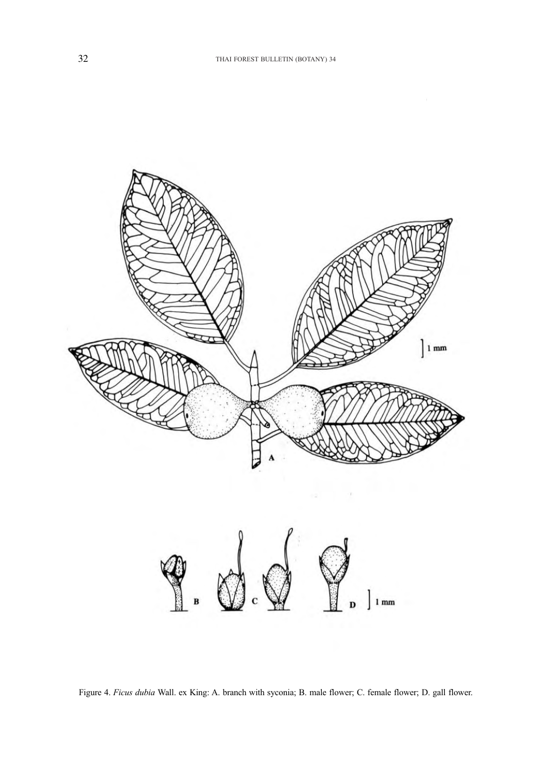

Figure 4. *Ficus dubia* Wall. ex King: A. branch with syconia; B. male flower; C. female flower; D. gall flower.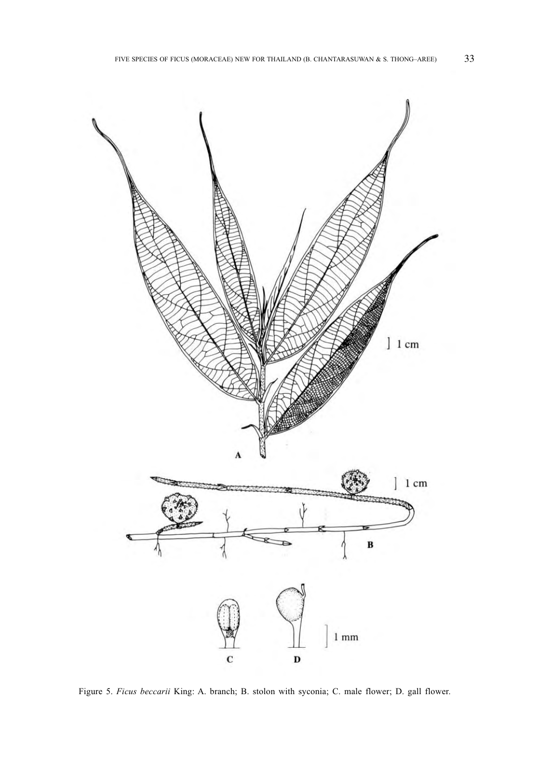

Figure 5. *Ficus beccarii* King: A. branch; B. stolon with syconia; C. male flower; D. gall flower.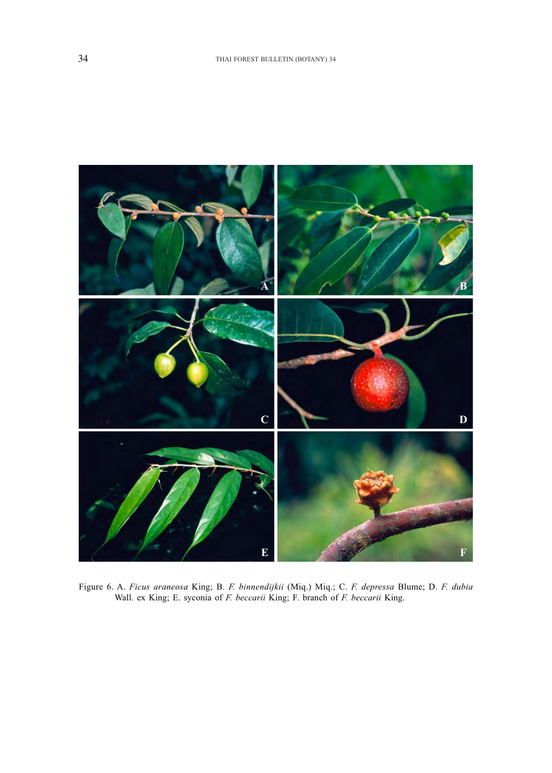

Figure 6. A. *Ficus araneosa* King; B. *F. binnendijkii* (Miq.) Miq.; C. *F. depressa* Blume; D. *F. dubia* Wall. ex King; E. syconia of *F. beccarii* King; F. branch of *F. beccarii* King.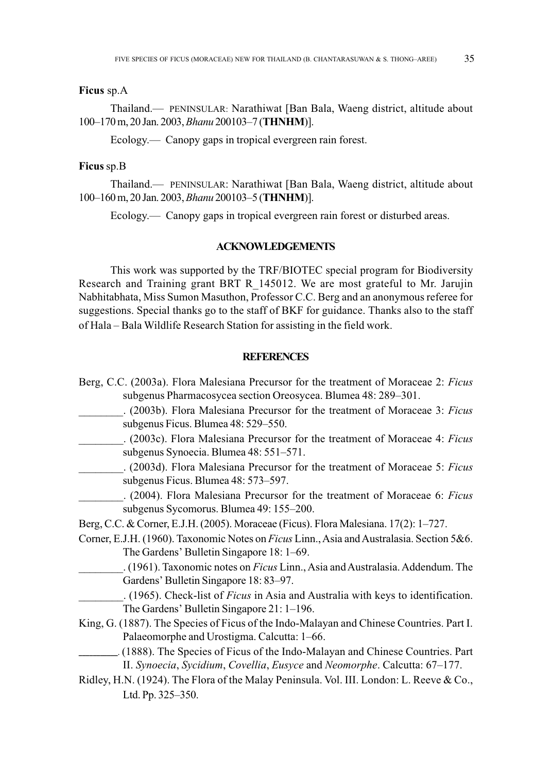## **Ficus** sp.A

Thailand.— PENINSULAR: Narathiwat [Ban Bala, Waeng district, altitude about 100–170 m, 20 Jan. 2003, *Bhanu* 200103–7 (**THNHM**)].

Ecology.— Canopy gaps in tropical evergreen rain forest.

## **Ficus** sp.B

Thailand.— PENINSULAR: Narathiwat [Ban Bala, Waeng district, altitude about 100–160 m, 20 Jan. 2003, *Bhanu* 200103–5 (**THNHM**)].

Ecology.— Canopy gaps in tropical evergreen rain forest or disturbed areas.

# **ACKNOWLEDGEMENTS**

This work was supported by the TRF/BIOTEC special program for Biodiversity Research and Training grant BRT R\_145012. We are most grateful to Mr. Jarujin Nabhitabhata, Miss Sumon Masuthon, Professor C.C. Berg and an anonymous referee for suggestions. Special thanks go to the staff of BKF for guidance. Thanks also to the staff of Hala – Bala Wildlife Research Station for assisting in the field work.

#### **REFERENCES**

Berg, C.C. (2003a). Flora Malesiana Precursor for the treatment of Moraceae 2: *Ficus* subgenus Pharmacosycea section Oreosycea. Blumea 48: 289–301. \_\_\_\_\_\_\_\_. (2003b). Flora Malesiana Precursor for the treatment of Moraceae 3: *Ficus* subgenus Ficus. Blumea 48: 529–550. \_\_\_\_\_\_\_\_. (2003c). Flora Malesiana Precursor for the treatment of Moraceae 4: *Ficus* subgenus Synoecia. Blumea 48: 551–571. \_\_\_\_\_\_\_\_. (2003d). Flora Malesiana Precursor for the treatment of Moraceae 5: *Ficus* subgenus Ficus. Blumea 48: 573–597. \_\_\_\_\_\_\_\_. (2004). Flora Malesiana Precursor for the treatment of Moraceae 6: *Ficus* subgenus Sycomorus. Blumea 49: 155–200. Berg, C.C. & Corner, E.J.H. (2005). Moraceae (Ficus). Flora Malesiana. 17(2): 1–727. Corner, E.J.H. (1960). Taxonomic Notes on *Ficus* Linn., Asia and Australasia. Section 5&6. The Gardens' Bulletin Singapore 18: 1–69. \_\_\_\_\_\_\_\_. (1961). Taxonomic notes on *Ficus* Linn., Asia and Australasia. Addendum. The Gardens' Bulletin Singapore 18: 83–97. \_\_\_\_\_\_\_\_. (1965). Check-list of *Ficus* in Asia and Australia with keys to identification. The Gardens' Bulletin Singapore 21: 1–196. King, G. (1887). The Species of Ficus of the Indo-Malayan and Chinese Countries. Part I. Palaeomorphe and Urostigma. Calcutta: 1–66. **\_\_\_\_\_\_\_\_\_\_\_.** (1888). The Species of Ficus of the Indo-Malayan and Chinese Countries. Part II. *Synoecia*, *Sycidium*, *Covellia*, *Eusyce* and *Neomorphe*. Calcutta: 67–177. Ridley, H.N. (1924). The Flora of the Malay Peninsula. Vol. III. London: L. Reeve & Co., Ltd. Pp. 325–350.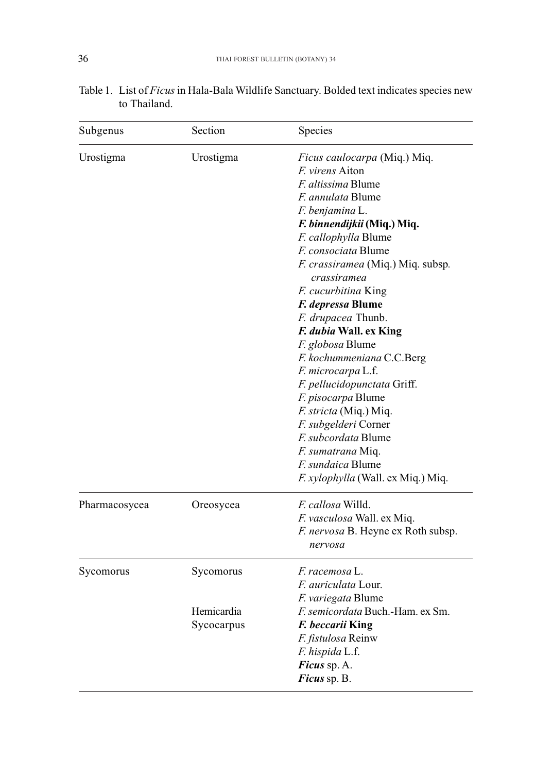| Subgenus      | Section    | Species                                                 |  |  |
|---------------|------------|---------------------------------------------------------|--|--|
| Urostigma     | Urostigma  | Ficus caulocarpa (Miq.) Miq.                            |  |  |
|               |            | F. virens Aiton                                         |  |  |
|               |            | <i>F. altissima</i> Blume                               |  |  |
|               |            | <i>F. annulata</i> Blume                                |  |  |
|               |            | F. benjamina L.                                         |  |  |
|               |            | F. binnendijkii (Miq.) Miq.                             |  |  |
|               |            | F. callophylla Blume                                    |  |  |
|               |            | F. consociata Blume                                     |  |  |
|               |            | <i>F. crassiramea</i> (Miq.) Miq. subsp.<br>crassiramea |  |  |
|               |            | F. cucurbitina King                                     |  |  |
|               |            | F. depressa Blume                                       |  |  |
|               |            | F. drupacea Thunb.                                      |  |  |
|               |            | F. dubia Wall. ex King                                  |  |  |
|               |            | F. globosa Blume                                        |  |  |
|               |            | F. kochummeniana C.C.Berg                               |  |  |
|               |            | F. microcarpa L.f.                                      |  |  |
|               |            | F. pellucidopunctata Griff.                             |  |  |
|               |            | F. pisocarpa Blume                                      |  |  |
|               |            | <i>F. stricta</i> (Miq.) Miq.                           |  |  |
|               |            | F. subgelderi Corner                                    |  |  |
|               |            | <i>F. subcordata</i> Blume                              |  |  |
|               |            | F. sumatrana Miq.                                       |  |  |
|               |            | <i>F. sundaica Blume</i>                                |  |  |
|               |            | F. xylophylla (Wall. ex Miq.) Miq.                      |  |  |
| Pharmacosycea | Oreosycea  | <i>F. callosa</i> Willd.                                |  |  |
|               |            | F. vasculosa Wall. ex Miq.                              |  |  |
|               |            | F. nervosa B. Heyne ex Roth subsp.                      |  |  |
|               |            | nervosa                                                 |  |  |
| Sycomorus     | Sycomorus  | F. racemosa L.                                          |  |  |
|               |            | <i>F. auriculata</i> Lour.                              |  |  |
|               |            | F. variegata Blume                                      |  |  |
|               | Hemicardia | F. semicordata Buch.-Ham. ex Sm.                        |  |  |
|               | Sycocarpus | F. beccarii King                                        |  |  |
|               |            | F. fistulosa Reinw                                      |  |  |
|               |            | F. hispida L.f.                                         |  |  |
|               |            | Ficus sp. A.                                            |  |  |
|               |            | Ficus sp. B.                                            |  |  |

| Table 1. List of Ficus in Hala-Bala Wildlife Sanctuary. Bolded text indicates species new |  |  |
|-------------------------------------------------------------------------------------------|--|--|
| to Thailand.                                                                              |  |  |